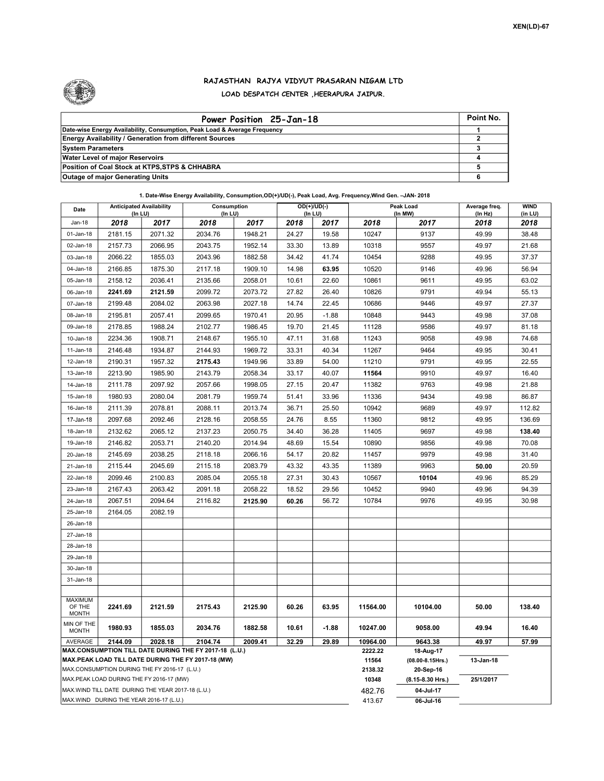

## RAJASTHAN RAJYA VIDYUT PRASARAN NIGAM LTD LOAD DESPATCH CENTER ,HEERAPURA JAIPUR.

| Power Position 25-Jan-18                                                  | Point No. |
|---------------------------------------------------------------------------|-----------|
| Date-wise Energy Availability, Consumption, Peak Load & Average Frequency |           |
| <b>Energy Availability / Generation from different Sources</b>            |           |
| <b>System Parameters</b>                                                  |           |
| <b>Water Level of major Reservoirs</b>                                    |           |
| Position of Coal Stock at KTPS, STPS & CHHABRA                            |           |
| <b>Outage of major Generating Units</b>                                   |           |

## 1. Date-Wise Energy Availability, Consumption,OD(+)/UD(-), Peak Load, Avg. Frequency,Wind Gen. –JAN- 2018

| Date                                                                                                                            | <b>Anticipated Availability</b><br>$($ In LU $)$ |         | Consumption<br>(ln LU) |         | $OD(+)/UD(-)$<br>(In LU) |         |                  | Peak Load<br>(In MW)               | Average freq.<br>(In Hz) | <b>WIND</b><br>(in LU) |
|---------------------------------------------------------------------------------------------------------------------------------|--------------------------------------------------|---------|------------------------|---------|--------------------------|---------|------------------|------------------------------------|--------------------------|------------------------|
| <b>Jan-18</b>                                                                                                                   | 2018                                             | 2017    | 2018                   | 2017    | 2018                     | 2017    | 2018             | 2017                               | 2018                     | 2018                   |
| 01-Jan-18                                                                                                                       | 2181.15                                          | 2071.32 | 2034.76                | 1948.21 | 24.27                    | 19.58   | 10247            | 9137                               | 49.99                    | 38.48                  |
| 02-Jan-18                                                                                                                       | 2157.73                                          | 2066.95 | 2043.75                | 1952.14 | 33.30                    | 13.89   | 10318            | 9557                               | 49.97                    | 21.68                  |
| 03-Jan-18                                                                                                                       | 2066.22                                          | 1855.03 | 2043.96                | 1882.58 | 34.42                    | 41.74   | 10454            | 9288                               | 49.95                    | 37.37                  |
| 04-Jan-18                                                                                                                       | 2166.85                                          | 1875.30 | 2117.18                | 1909.10 | 14.98                    | 63.95   | 10520            | 9146                               | 49.96                    | 56.94                  |
| 05-Jan-18                                                                                                                       | 2158.12                                          | 2036.41 | 2135.66                | 2058.01 | 10.61                    | 22.60   | 10861            | 9611                               | 49.95                    | 63.02                  |
| 06-Jan-18                                                                                                                       | 2241.69                                          | 2121.59 | 2099.72                | 2073.72 | 27.82                    | 26.40   | 10826            | 9791                               | 49.94                    | 55.13                  |
| 07-Jan-18                                                                                                                       | 2199.48                                          | 2084.02 | 2063.98                | 2027.18 | 14.74                    | 22.45   | 10686            | 9446                               | 49.97                    | 27.37                  |
| 08-Jan-18                                                                                                                       | 2195.81                                          | 2057.41 | 2099.65                | 1970.41 | 20.95                    | $-1.88$ | 10848            | 9443                               | 49.98                    | 37.08                  |
| 09-Jan-18                                                                                                                       | 2178.85                                          | 1988.24 | 2102.77                | 1986.45 | 19.70                    | 21.45   | 11128            | 9586                               | 49.97                    | 81.18                  |
| 10-Jan-18                                                                                                                       | 2234.36                                          | 1908.71 | 2148.67                | 1955.10 | 47.11                    | 31.68   | 11243            | 9058                               | 49.98                    | 74.68                  |
| 11-Jan-18                                                                                                                       | 2146.48                                          | 1934.87 | 2144.93                | 1969.72 | 33.31                    | 40.34   | 11267            | 9464                               | 49.95                    | 30.41                  |
| 12-Jan-18                                                                                                                       | 2190.31                                          | 1957.32 | 2175.43                | 1949.96 | 33.89                    | 54.00   | 11210            | 9791                               | 49.95                    | 22.55                  |
| 13-Jan-18                                                                                                                       | 2213.90                                          | 1985.90 | 2143.79                | 2058.34 | 33.17                    | 40.07   | 11564            | 9910                               | 49.97                    | 16.40                  |
| 14-Jan-18                                                                                                                       | 2111.78                                          | 2097.92 | 2057.66                | 1998.05 | 27.15                    | 20.47   | 11382            | 9763                               | 49.98                    | 21.88                  |
| 15-Jan-18                                                                                                                       | 1980.93                                          | 2080.04 | 2081.79                | 1959.74 | 51.41                    | 33.96   | 11336            | 9434                               | 49.98                    | 86.87                  |
| 16-Jan-18                                                                                                                       | 2111.39                                          | 2078.81 | 2088.11                | 2013.74 | 36.71                    | 25.50   | 10942            | 9689                               | 49.97                    | 112.82                 |
| 17-Jan-18                                                                                                                       | 2097.68                                          | 2092.46 | 2128.16                | 2058.55 | 24.76                    | 8.55    | 11360            | 9812                               | 49.95                    | 136.69                 |
| 18-Jan-18                                                                                                                       | 2132.62                                          | 2065.12 | 2137.23                | 2050.75 | 34.40                    | 36.28   | 11405            | 9697                               | 49.98                    | 138.40                 |
| 19-Jan-18                                                                                                                       | 2146.82                                          | 2053.71 | 2140.20                | 2014.94 | 48.69                    | 15.54   | 10890            | 9856                               | 49.98                    | 70.08                  |
| 20-Jan-18                                                                                                                       | 2145.69                                          | 2038.25 | 2118.18                | 2066.16 | 54.17                    | 20.82   | 11457            | 9979                               | 49.98                    | 31.40                  |
| 21-Jan-18                                                                                                                       | 2115.44                                          | 2045.69 | 2115.18                | 2083.79 | 43.32                    | 43.35   | 11389            | 9963                               | 50.00                    | 20.59                  |
| 22-Jan-18                                                                                                                       | 2099.46                                          | 2100.83 | 2085.04                | 2055.18 | 27.31                    | 30.43   | 10567            | 10104                              | 49.96                    | 85.29                  |
| 23-Jan-18                                                                                                                       | 2167.43                                          | 2063.42 | 2091.18                | 2058.22 | 18.52                    | 29.56   | 10452            | 9940                               | 49.96                    | 94.39                  |
| 24-Jan-18                                                                                                                       | 2067.51                                          | 2094.64 | 2116.82                | 2125.90 | 60.26                    | 56.72   | 10784            | 9976                               | 49.95                    | 30.98                  |
| 25-Jan-18                                                                                                                       | 2164.05                                          | 2082.19 |                        |         |                          |         |                  |                                    |                          |                        |
| 26-Jan-18                                                                                                                       |                                                  |         |                        |         |                          |         |                  |                                    |                          |                        |
| 27-Jan-18                                                                                                                       |                                                  |         |                        |         |                          |         |                  |                                    |                          |                        |
| 28-Jan-18                                                                                                                       |                                                  |         |                        |         |                          |         |                  |                                    |                          |                        |
| 29-Jan-18                                                                                                                       |                                                  |         |                        |         |                          |         |                  |                                    |                          |                        |
| 30-Jan-18                                                                                                                       |                                                  |         |                        |         |                          |         |                  |                                    |                          |                        |
| 31-Jan-18                                                                                                                       |                                                  |         |                        |         |                          |         |                  |                                    |                          |                        |
| <b>MAXIMUM</b>                                                                                                                  |                                                  |         |                        |         |                          |         |                  |                                    |                          |                        |
| OF THE<br><b>MONTH</b>                                                                                                          | 2241.69                                          | 2121.59 | 2175.43                | 2125.90 | 60.26                    | 63.95   | 11564.00         | 10104.00                           | 50.00                    | 138.40                 |
| MIN OF THE<br><b>MONTH</b>                                                                                                      | 1980.93                                          | 1855.03 | 2034.76                | 1882.58 | 10.61                    | $-1.88$ | 10247.00         | 9058.00                            | 49.94                    | 16.40                  |
| AVERAGE<br>2144.09<br>2028.18<br>2104.74<br>2009.41<br>32.29<br>29.89<br>MAX.CONSUMPTION TILL DATE DURING THE FY 2017-18 (L.U.) |                                                  |         |                        |         |                          |         | 10964.00         | 9643.38                            | 49.97                    | 57.99                  |
| MAX.PEAK LOAD TILL DATE DURING THE FY 2017-18 (MW)                                                                              |                                                  |         |                        |         |                          |         | 2222.22<br>11564 | 18-Aug-17<br>$(08.00 - 8.15$ Hrs.) | 13-Jan-18                |                        |
| MAX.CONSUMPTION DURING THE FY 2016-17 (L.U.)                                                                                    |                                                  |         |                        |         |                          |         | 2138.32          | 20-Sep-16                          |                          |                        |
| MAX.PEAK LOAD DURING THE FY 2016-17 (MW)                                                                                        |                                                  |         |                        |         |                          |         |                  | (8.15-8.30 Hrs.)                   | 25/1/2017                |                        |
| MAX.WIND TILL DATE DURING THE YEAR 2017-18 (L.U.)                                                                               |                                                  |         |                        |         |                          |         | 482.76           | 04-Jul-17                          |                          |                        |
| MAX.WIND DURING THE YEAR 2016-17 (L.U.)                                                                                         |                                                  |         |                        |         |                          |         |                  | 06-Jul-16                          |                          |                        |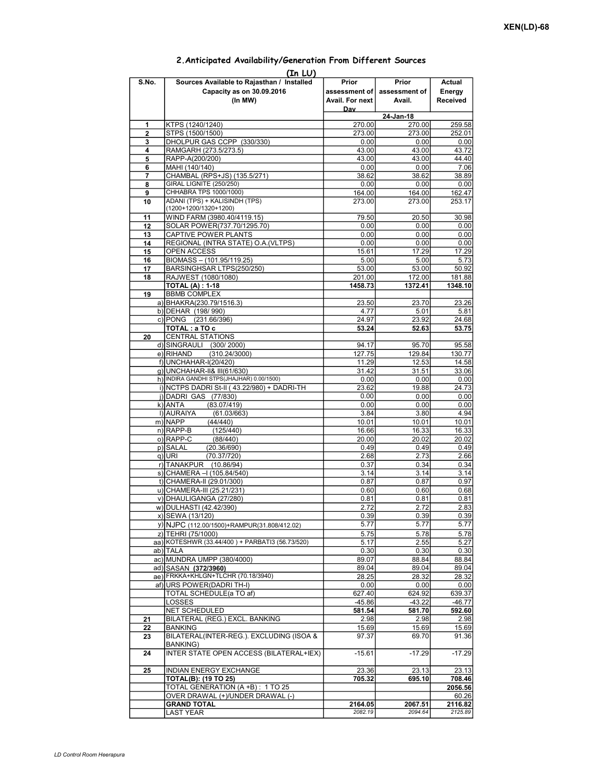|                         | (1n LU)                                                                            |                                           |                                  |                              |
|-------------------------|------------------------------------------------------------------------------------|-------------------------------------------|----------------------------------|------------------------------|
| S.No.                   | Sources Available to Rajasthan / Installed<br>Capacity as on 30.09.2016<br>(In MW) | Prior<br>assessment of<br>Avail. For next | Prior<br>assessment of<br>Avail. | Actual<br>Energy<br>Received |
|                         |                                                                                    | Dav                                       |                                  |                              |
|                         |                                                                                    |                                           | 24-Jan-18                        |                              |
| 1                       | KTPS (1240/1240)                                                                   | 270.00                                    | 270.00                           | 259.58                       |
| $\overline{\mathbf{2}}$ | STPS (1500/1500)                                                                   | 273.00                                    | 273.00                           | 252.01                       |
| 3                       | DHOLPUR GAS CCPP (330/330)                                                         | 0.00                                      | 0.00                             | 0.00                         |
| 4                       | RAMGARH (273.5/273.5)                                                              | 43.00                                     | 43.00                            | 43.72                        |
| 5                       | RAPP-A(200/200)                                                                    | 43.00                                     | 43.00                            | 44.40                        |
| 6                       | MAHI (140/140)                                                                     | 0.00                                      | 0.00                             | 7.06                         |
| 7                       | CHAMBAL (RPS+JS) (135.5/271)                                                       | 38.62                                     | 38.62                            | 38.89                        |
| 8                       | <b>GIRAL LIGNITE (250/250)</b>                                                     | 0.00                                      | 0.00                             | 0.00                         |
| 9                       | CHHABRA TPS 1000/1000)                                                             | 164.00                                    | 164.00                           | 162.47                       |
| 10                      | ADANI (TPS) + KALISINDH (TPS)                                                      | 273.00                                    | 273.00                           | 253.17                       |
|                         | (1200+1200/1320+1200)                                                              |                                           |                                  |                              |
| 11                      | WIND FARM (3980.40/4119.15)                                                        | 79.50                                     | 20.50                            | 30.98                        |
| 12                      | SOLAR POWER(737.70/1295.70)                                                        | 0.00                                      | 0.00                             | 0.00                         |
| 13                      | CAPTIVE POWER PLANTS                                                               | 0.00                                      | 0.00                             | 0.00                         |
| 14                      | REGIONAL (INTRA STATE) O.A. (VLTPS)                                                | 0.00                                      | 0.00                             | 0.00                         |
| 15                      | OPEN ACCESS                                                                        | 15.61                                     | 17.29                            | 17.29                        |
| 16                      | BIOMASS - (101.95/119.25)                                                          | 5.00                                      | 5.00                             | 5.73                         |
| 17                      | BARSINGHSAR LTPS(250/250)                                                          | 53.00                                     | 53.00                            | 50.92                        |
| 18                      | RAJWEST (1080/1080)                                                                | 201.00                                    | 172.00                           | 181.88                       |
|                         | <b>TOTAL (A): 1-18</b>                                                             | 1458.73                                   | 1372.41                          | 1348.10                      |
| 19                      | <b>BBMB COMPLEX</b>                                                                |                                           |                                  |                              |
|                         | a) BHAKRA(230.79/1516.3)                                                           | 23.50                                     | 23.70                            | 23.26                        |
|                         | b) DEHAR (198/990)                                                                 | 4.77                                      | 5.01                             | 5.81                         |
|                         | c) PONG (231.66/396)                                                               | 24.97                                     | 23.92                            | 24.68                        |
|                         | TOTAL: a TO c                                                                      | 53.24                                     | 52.63                            | 53.75                        |
| 20                      | <b>CENTRAL STATIONS</b>                                                            |                                           |                                  |                              |
|                         | d) SINGRAULI (300/2000)                                                            | 94.17                                     | 95.70                            | 95.58                        |
|                         | e) RIHAND<br>(310.24/3000)                                                         | 127.75                                    | 129.84                           | 130.77                       |
|                         | f) UNCHAHAR-I(20/420)                                                              | 11.29                                     | 12.53                            | 14.58                        |
|                         | q) UNCHAHAR-II& III(61/630)                                                        | 31.42                                     | 31.51                            | 33.06                        |
|                         | h) INDIRA GANDHI STPS(JHAJHAR) 0.00/1500)                                          | 0.00                                      | 0.00                             | 0.00                         |
|                         | i) NCTPS DADRI St-II (43.22/980) + DADRI-TH                                        | 23.62                                     | 19.88                            | 24.73                        |
|                         | j) DADRI GAS (77/830)                                                              | 0.00                                      | 0.00                             | 0.00                         |
|                         | k) ANTA<br>(83.07/419)                                                             | 0.00                                      | 0.00                             | 0.00                         |
|                         | I) AURAIYA<br>(61.03/663)                                                          | 3.84                                      | 3.80                             | 4.94                         |
|                         | m) NAPP<br>(44/440)                                                                | 10.01                                     | 10.01                            | 10.01                        |
|                         | $n)$ RAPP-B<br>(125/440)                                                           | 16.66                                     | 16.33                            | 16.33                        |
|                         | o) RAPP-C<br>(88/440)                                                              | 20.00                                     | 20.02                            | 20.02                        |
|                         | p) SALAL<br>(20.36/690)                                                            | 0.49                                      | 0.49                             | 0.49                         |
|                         | $q)$ URI<br>(70.37/720)                                                            | 2.68                                      | 2.73                             | 2.66                         |
|                         | r) TANAKPUR (10.86/94)                                                             | 0.37                                      | 0.34                             | 0.34                         |
|                         | s) CHAMERA - (105.84/540)                                                          | 3.14                                      | 3.14                             | 3.14                         |
|                         | t) CHAMERA-II (29.01/300)                                                          | 0.87                                      | 0.87                             | 0.97                         |
|                         | u) CHAMERA-III (25.21/231)                                                         | 0.60                                      | 0.60                             | 0.68                         |
|                         | v) DHAULIGANGA (27/280)                                                            | 0.81                                      | 0.81                             |                              |
|                         | w) DULHASTI (42.42/390)                                                            | 2.72                                      | 2.72                             | 0.81                         |
|                         |                                                                                    |                                           |                                  | 2.83                         |
|                         | x) SEWA (13/120)                                                                   | 0.39                                      | 0.39                             | 0.39                         |
|                         | y) NJPC (112.00/1500) + RAMPUR(31.808/412.02)                                      | 5.77                                      | 5.77                             | 5.77                         |
|                         | z) TEHRI (75/1000)                                                                 | 5.75                                      | 5.78                             | 5.78                         |
|                         | aa) KOTESHWR (33.44/400) + PARBATI3 (56.73/520)                                    | 5.17                                      | 2.55                             | 5.27                         |
|                         | ab) TALA                                                                           | 0.30                                      | 0.30                             | 0.30                         |
|                         | ac) MUNDRA UMPP (380/4000)                                                         | 89.07                                     | 88.84                            | 88.84                        |
|                         | ad) SASAN (372/3960)                                                               | 89.04                                     | 89.04                            | 89.04                        |
|                         | ae) FRKKA+KHLGN+TLCHR (70.18/3940)                                                 | 28.25                                     | 28.32                            | 28.32                        |
|                         | af) URS POWER (DADRI TH-I)                                                         | 0.00                                      | 0.00                             | 0.00                         |
|                         | <b>TOTAL SCHEDULE(a TO af)</b>                                                     | 627.40                                    | 624.92                           | 639.37                       |
|                         | LOSSES                                                                             | $-45.86$                                  | $-43.22$                         | $-46.77$                     |
|                         | NET SCHEDULED                                                                      | 581.54                                    | 581.70                           | 592.60                       |
| 21                      | BILATERAL (REG.) EXCL. BANKING                                                     | 2.98                                      | 2.98                             | 2.98                         |
| 22                      | <b>BANKING</b>                                                                     | 15.69                                     | 15.69                            | 15.69                        |
| 23                      | BILATERAL(INTER-REG.). EXCLUDING (ISOA &                                           | 97.37                                     | 69.70                            | 91.36                        |
| 24                      | <b>BANKING)</b><br>INTER STATE OPEN ACCESS (BILATERAL+IEX)                         | $-15.61$                                  | $-17.29$                         | $-17.29$                     |
|                         |                                                                                    |                                           |                                  |                              |
| 25                      | <b>INDIAN ENERGY EXCHANGE</b>                                                      | 23.36                                     | 23.13                            | 23.13                        |
|                         | <b>TOTAL(B): (19 TO 25)</b>                                                        | 705.32                                    | 695.10                           | 708.46                       |
|                         | TOTAL GENERATION (A +B): 1 TO 25                                                   |                                           |                                  | 2056.56                      |
|                         | OVER DRAWAL (+)/UNDER DRAWAL (-)                                                   |                                           |                                  | 60.26                        |
|                         | <b>GRAND TOTAL</b>                                                                 | 2164.05                                   | 2067.51                          | 2116.82                      |
|                         | LAST YEAR                                                                          | 2082.19                                   | 2094.64                          | 2125.89                      |

## 2.Anticipated Availability/Generation From Different Sources  $\sim$   $\sim$